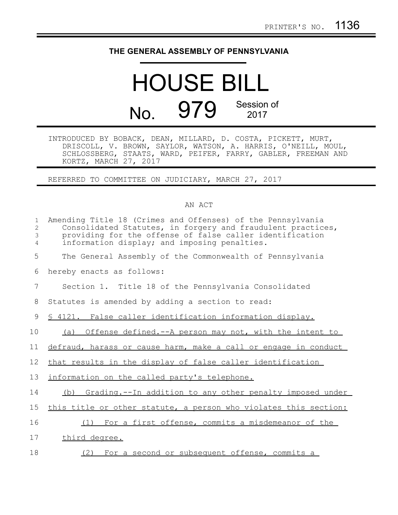## **THE GENERAL ASSEMBLY OF PENNSYLVANIA**

## HOUSE BILL No. 979 Session of 2017

INTRODUCED BY BOBACK, DEAN, MILLARD, D. COSTA, PICKETT, MURT, DRISCOLL, V. BROWN, SAYLOR, WATSON, A. HARRIS, O'NEILL, MOUL, SCHLOSSBERG, STAATS, WARD, PEIFER, FARRY, GABLER, FREEMAN AND KORTZ, MARCH 27, 2017

REFERRED TO COMMITTEE ON JUDICIARY, MARCH 27, 2017

## AN ACT

| $\mathbf{1}$<br>2<br>3<br>$\overline{4}$ | Amending Title 18 (Crimes and Offenses) of the Pennsylvania<br>Consolidated Statutes, in forgery and fraudulent practices,<br>providing for the offense of false caller identification<br>information display; and imposing penalties. |
|------------------------------------------|----------------------------------------------------------------------------------------------------------------------------------------------------------------------------------------------------------------------------------------|
| 5                                        | The General Assembly of the Commonwealth of Pennsylvania                                                                                                                                                                               |
| 6                                        | hereby enacts as follows:                                                                                                                                                                                                              |
| 7                                        | Section 1. Title 18 of the Pennsylvania Consolidated                                                                                                                                                                                   |
| 8                                        | Statutes is amended by adding a section to read:                                                                                                                                                                                       |
| 9                                        | \$ 4121. False caller identification information display.                                                                                                                                                                              |
| 10                                       | (a) Offense defined.--A person may not, with the intent to                                                                                                                                                                             |
| 11                                       | defraud, harass or cause harm, make a call or engage in conduct                                                                                                                                                                        |
| $12 \,$                                  | that results in the display of false caller identification                                                                                                                                                                             |
| 13                                       | information on the called party's telephone.                                                                                                                                                                                           |
| 14                                       | Grading.--In addition to any other penalty imposed under<br>(b)                                                                                                                                                                        |
| 15                                       | this title or other statute, a person who violates this section:                                                                                                                                                                       |
| 16                                       | For a first offense, commits a misdemeanor of the<br>(1)                                                                                                                                                                               |
| 17                                       | third degree.                                                                                                                                                                                                                          |
| 18                                       | (2) For a second or subsequent offense, commits a                                                                                                                                                                                      |